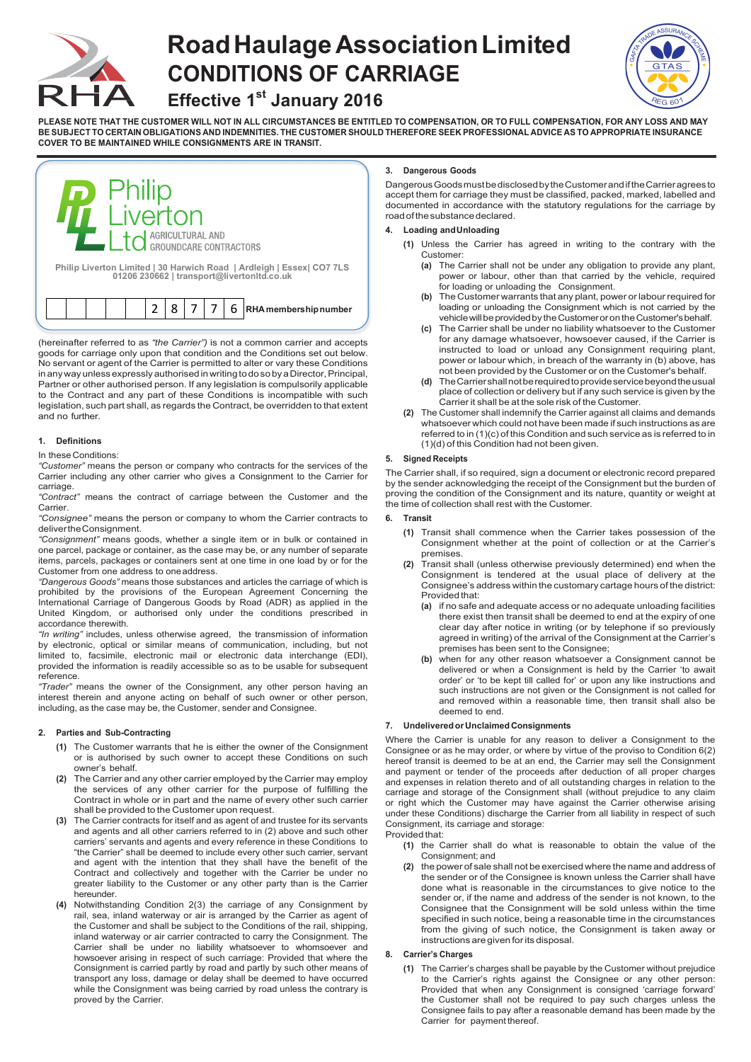

# **RoadHaulageAssociationLimited CONDITIONS OF CARRIAGE**



### **Effective 1st January 2016**

PLEASE NOTE THAT THE CUSTOMER WILL NOT IN ALL CIRCUMSTANCES BE ENTITLED TO COMPENSATION. OR TO FULL COMPENSATION. FOR ANY LOSS AND MAY BE SUBJECT TO CERTAIN OBLIGATIONS AND INDEMNITIES. THE CUSTOMER SHOULD THEREFORE SEEK PROFESSIONAL ADVICE AS TO APPROPRIATE INSURANCE **COVER TO BE MAINTAINED WHILE CONSIGNMENTS ARE IN TRANSIT.**



(hereinafter referred to as *"the Carrier")* is not a common carrier and accepts goods for carriage only upon that condition and the Conditions set out below. No servant or agent of the Carrier is permitted to alter or vary these Conditions in any way unless expressly authorised in writing to do so by a Director, Principal, Partner or other authorised person. If any legislation is compulsorily applicable to the Contract and any part of these Conditions is incompatible with such legislation, such part shall, as regards the Contract, be overridden to that extent and no further.

#### **1. Definitions**

#### In these Conditions:

*"Customer"* means the person or company who contracts for the services of the Carrier including any other carrier who gives a Consignment to the Carrier for carriage.

*"Contract"* means the contract of carriage between the Customer and the Carrier.

*"Consignee"* means the person or company to whom the Carrier contracts to delivertheConsignment.

*"Consignment"* means goods, whether a single item or in bulk or contained in one parcel, package or container, as the case may be, or any number of separate items, parcels, packages or containers sent at one time in one load by or for the Customer from one address to oneaddress.

*"Dangerous Goods"* means those substances and articles the carriage of which is prohibited by the provisions of the European Agreement Concerning the International Carriage of Dangerous Goods by Road (ADR) as applied in the United Kingdom, or authorised only under the conditions prescribed in accordance therewith.

*"In writing"* includes, unless otherwise agreed, the transmission of information by electronic, optical or similar means of communication, including, but not limited to, facsimile, electronic mail or electronic data interchange (EDI), provided the information is readily accessible so as to be usable for subsequent reference.

*"Trader"* means the owner of the Consignment, any other person having an interest therein and anyone acting on behalf of such owner or other person, including, as the case may be, the Customer, sender and Consignee.

#### **2. Parties and Sub-Contracting**

- **(1)** The Customer warrants that he is either the owner of the Consignment or is authorised by such owner to accept these Conditions on such owner's behalf.
- **(2)** The Carrier and any other carrier employed by the Carrier may employ the services of any other carrier for the purpose of fulfilling the Contract in whole or in part and the name of every other such carrier shall be provided to the Customer upon request.
- **(3)** The Carrier contracts for itself and as agent of and trustee for its servants and agents and all other carriers referred to in (2) above and such other carriers' servants and agents and every reference in these Conditions to "the Carrier" shall be deemed to include every other such carrier, servant and agent with the intention that they shall have the benefit of the Contract and collectively and together with the Carrier be under no greater liability to the Customer or any other party than is the Carrier hereunder.
- **(4)** Notwithstanding Condition 2(3) the carriage of any Consignment by rail, sea, inland waterway or air is arranged by the Carrier as agent of the Customer and shall be subject to the Conditions of the rail, shipping, inland waterway or air carrier contracted to carry the Consignment. The Carrier shall be under no liability whatsoever to whomsoever and howsoever arising in respect of such carriage: Provided that where the Consignment is carried partly by road and partly by such other means of transport any loss, damage or delay shall be deemed to have occurred while the Consignment was being carried by road unless the contrary is proved by the Carrier.

#### **3. Dangerous Goods**

DangerousGoodsmustbedisclosedbytheCustomerandiftheCarrieragreesto accept them for carriage they must be classified, packed, marked, labelled and documented in accordance with the statutory regulations for the carriage by road of the substance declared.

#### **4. Loading andUnloading**

- **(1)** Unless the Carrier has agreed in writing to the contrary with the Customer:
	- **(a)** The Carrier shall not be under any obligation to provide any plant, power or labour, other than that carried by the vehicle, required for loading or unloading the Consignment.
	- **(b)** The Customer warrants that any plant, power or labour required for loading or unloading the Consignment which is not carried by the vehicle will be provided by the Customer or on the Customer's behalf.
	- **(c)** The Carrier shall be under no liability whatsoever to the Customer for any damage whatsoever, howsoever caused, if the Carrier is instructed to load or unload any Consignment requiring plant, power or labour which, in breach of the warranty in (b) above, has not been provided by the Customer or on the Customer's behalf.
	- **(d)** TheCarriershallnotberequiredtoprovideservicebeyondtheusual place of collection or delivery but if any such service is given by the Carrier it shall be at the sole risk of the Customer.
- **(2)** The Customer shall indemnify the Carrier against all claims and demands whatsoever which could not have been made if such instructions as are referred to in (1)(c) of this Condition and such service as is referred to in (1)(d) of this Condition had not been given.

#### **5. Signed Receipts**

The Carrier shall, if so required, sign a document or electronic record prepared by the sender acknowledging the receipt of the Consignment but the burden of proving the condition of the Consignment and its nature, quantity or weight at the time of collection shall rest with the Customer.

#### **6. Transit**

- **(1)** Transit shall commence when the Carrier takes possession of the Consignment whether at the point of collection or at the Carrier's premises.
- **(2)** Transit shall (unless otherwise previously determined) end when the Consignment is tendered at the usual place of delivery at the Consignee's address within the customary cartage hours of the district: Provided that:
	- **(a)** if no safe and adequate access or no adequate unloading facilities there exist then transit shall be deemed to end at the expiry of one clear day after notice in writing (or by telephone if so previously agreed in writing) of the arrival of the Consignment at the Carrier's premises has been sent to the Consignee;
	- **(b)** when for any other reason whatsoever a Consignment cannot be delivered or when a Consignment is held by the Carrier 'to await order' or 'to be kept till called for' or upon any like instructions and such instructions are not given or the Consignment is not called for and removed within a reasonable time, then transit shall also be deemed to end.

#### **7. Undeliveredor Unclaimed Consignments**

Where the Carrier is unable for any reason to deliver a Consignment to the Consignee or as he may order, or where by virtue of the proviso to Condition 6(2) hereof transit is deemed to be at an end, the Carrier may sell the Consignment and payment or tender of the proceeds after deduction of all proper charges and expenses in relation thereto and of all outstanding charges in relation to the carriage and storage of the Consignment shall (without prejudice to any claim or right which the Customer may have against the Carrier otherwise arising under these Conditions) discharge the Carrier from all liability in respect of such Consignment, its carriage and storage: Provided that:

- **(1)** the Carrier shall do what is reasonable to obtain the value of the Consignment; and
- **(2)** the power of sale shall not be exercised where the name and address of the sender or of the Consignee is known unless the Carrier shall have done what is reasonable in the circumstances to give notice to the sender or, if the name and address of the sender is not known, to the Consignee that the Consignment will be sold unless within the time specified in such notice, being a reasonable time in the circumstances from the giving of such notice, the Consignment is taken away or instructions are given for its disposal.

#### **8. Carrier's Charges**

**(1)** The Carrier's charges shall be payable by the Customer without prejudice to the Carrier's rights against the Consignee or any other person: Provided that when any Consignment is consigned 'carriage forward' the Customer shall not be required to pay such charges unless the Consignee fails to pay after a reasonable demand has been made by the Carrier for payment thereof.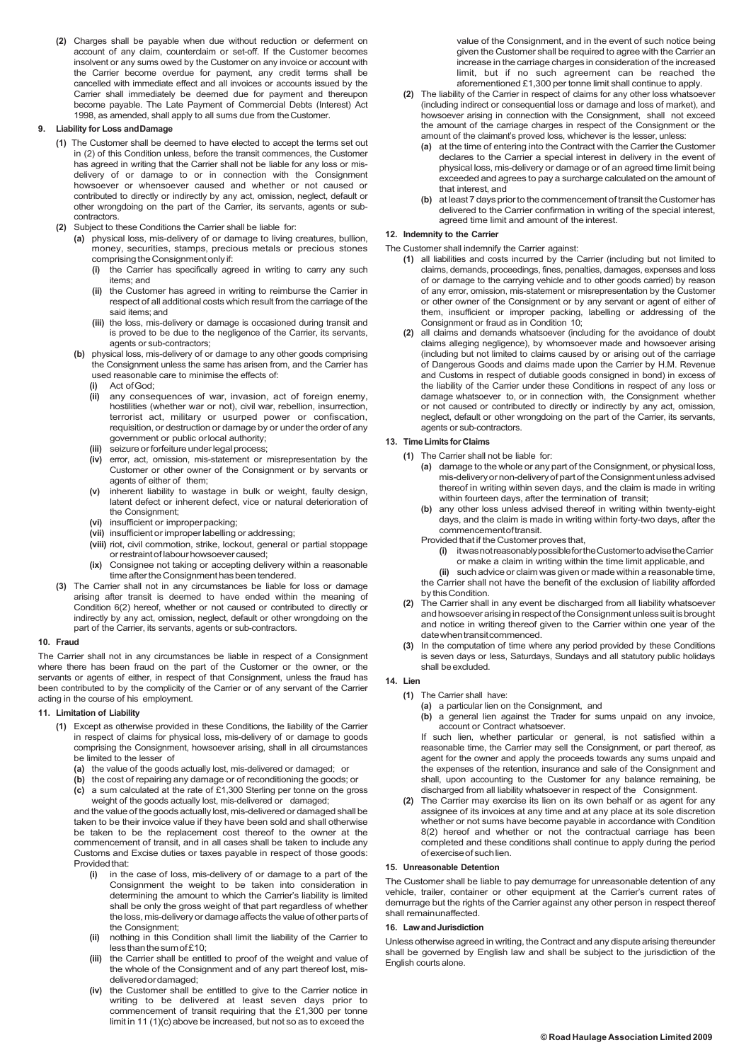**(2)** Charges shall be payable when due without reduction or deferment on account of any claim, counterclaim or set-off. If the Customer becomes insolvent or any sums owed by the Customer on any invoice or account with the Carrier become overdue for payment, any credit terms shall be cancelled with immediate effect and all invoices or accounts issued by the Carrier shall immediately be deemed due for payment and thereupon become payable. The Late Payment of Commercial Debts (Interest) Act 1998, as amended, shall apply to all sums due from theCustomer.

#### **9. Liability for Loss andDamage**

- **(1)** The Customer shall be deemed to have elected to accept the terms set out in (2) of this Condition unless, before the transit commences, the Customer has agreed in writing that the Carrier shall not be liable for any loss or misdelivery of or damage to or in connection with the Consignment howsoever or whensoever caused and whether or not caused or contributed to directly or indirectly by any act, omission, neglect, default or other wrongdoing on the part of the Carrier, its servants, agents or subcontractors.
- **(2)** Subject to these Conditions the Carrier shall be liable for:
	- **(a)** physical loss, mis-delivery of or damage to living creatures, bullion, money, securities, stamps, precious metals or precious stones comprising the Consignment only if:
		- **(i)** the Carrier has specifically agreed in writing to carry any such items; and
		- **(ii)** the Customer has agreed in writing to reimburse the Carrier in respect of all additional costs which result from the carriage of the said items; and
		- **(iii)** the loss, mis-delivery or damage is occasioned during transit and is proved to be due to the negligence of the Carrier, its servants, agents or sub-contractors;
	- **(b)** physical loss, mis-delivery of or damage to any other goods comprising the Consignment unless the same has arisen from, and the Carrier has used reasonable care to minimise the effects of:
		- **(i)** Act ofGod;
		- **(ii)** any consequences of war, invasion, act of foreign enemy, hostilities (whether war or not), civil war, rebellion, insurrection, terrorist act, military or usurped power or confiscation, requisition, or destruction or damage by or under the order of any government or public orlocal authority;
		- (iii) seizure or forfeiture under legal process;
		- **(iv)** error, act, omission, mis-statement or misrepresentation by the Customer or other owner of the Consignment or by servants or agents of either of them;
		- **(v)** inherent liability to wastage in bulk or weight, faulty design, latent defect or inherent defect, vice or natural deterioration of the Consignment;
		- **(vi)** insufficient or improperpacking;
		- **(vii)** insufficient or improperlabelling or addressing;
		- **(viii)** riot, civil commotion, strike, lockout, general or partial stoppage or restraint of labour howsoever caused;
		- **(ix)** Consignee not taking or accepting delivery within a reasonable time after the Consignment has been tendered.
- **(3)** The Carrier shall not in any circumstances be liable for loss or damage arising after transit is deemed to have ended within the meaning of Condition 6(2) hereof, whether or not caused or contributed to directly or indirectly by any act, omission, neglect, default or other wrongdoing on the part of the Carrier, its servants, agents or sub-contractors.

#### **10. Fraud**

The Carrier shall not in any circumstances be liable in respect of a Consignment where there has been fraud on the part of the Customer or the owner, or the servants or agents of either, in respect of that Consignment, unless the fraud has been contributed to by the complicity of the Carrier or of any servant of the Carrier acting in the course of his employment.

#### **11. Limitation of Liability**

- **(1)** Except as otherwise provided in these Conditions, the liability of the Carrier in respect of claims for physical loss, mis-delivery of or damage to goods comprising the Consignment, howsoever arising, shall in all circumstances be limited to the lesser of
	- **(a)** the value of the goods actually lost, mis-delivered or damaged; or
	- **(b)** the cost of repairing any damage or of reconditioning the goods; or **(c)** a sum calculated at the rate of £1,300 Sterling per tonne on the gross weight of the goods actually lost, mis-delivered or damaged;

and the value of the goods actually lost, mis-delivered or damaged shall be taken to be their invoice value if they have been sold and shall otherwise be taken to be the replacement cost thereof to the owner at the commencement of transit, and in all cases shall be taken to include any Customs and Excise duties or taxes payable in respect of those goods: Provided that:

- **(i)** in the case of loss, mis-delivery of or damage to a part of the Consignment the weight to be taken into consideration in determining the amount to which the Carrier's liability is limited shall be only the gross weight of that part regardless of whether the loss, mis-delivery or damage affects the value of other parts of the Consignment;
- **(ii)** nothing in this Condition shall limit the liability of the Carrier to lessthanthesumof£10;
- **(iii)** the Carrier shall be entitled to proof of the weight and value of the whole of the Consignment and of any part thereof lost, misdeliveredordamaged;
- **(iv)** the Customer shall be entitled to give to the Carrier notice in writing to be delivered at least seven days prior to commencement of transit requiring that the £1,300 per tonne limit in 11 (1)(c) above be increased, but not so as to exceed the

value of the Consignment, and in the event of such notice being given the Customer shall be required to agree with the Carrier an increase in the carriage charges in consideration of the increased limit, but if no such agreement can be reached the aforementioned £1,300 per tonne limit shall continue to apply.

- **(2)** The liability of the Carrier in respect of claims for any other loss whatsoever (including indirect or consequential loss or damage and loss of market), and howsoever arising in connection with the Consignment, shall not exceed the amount of the carriage charges in respect of the Consignment or the amount of the claimant's proved loss, whichever is the lesser, unless:
	- **(a)** at the time of entering into the Contract with the Carrier the Customer declares to the Carrier a special interest in delivery in the event of physical loss, mis-delivery or damage or of an agreed time limit being exceeded and agrees to pay a surcharge calculated on the amount of that interest, and
	- **(b)** at least 7 days prior to the commencement of transit the Customer has delivered to the Carrier confirmation in writing of the special interest, agreed time limit and amount of the interest.

#### **12. Indemnity to the Carrier**

- The Customer shall indemnify the Carrier against:
	- **(1)** all liabilities and costs incurred by the Carrier (including but not limited to claims, demands, proceedings, fines, penalties, damages, expenses and loss of or damage to the carrying vehicle and to other goods carried) by reason of any error, omission, mis-statement or misrepresentation by the Customer or other owner of the Consignment or by any servant or agent of either of them, insufficient or improper packing, labelling or addressing of the Consignment or fraud as in Condition 10;
	- **(2)** all claims and demands whatsoever (including for the avoidance of doubt claims alleging negligence), by whomsoever made and howsoever arising (including but not limited to claims caused by or arising out of the carriage of Dangerous Goods and claims made upon the Carrier by H.M. Revenue and Customs in respect of dutiable goods consigned in bond) in excess of the liability of the Carrier under these Conditions in respect of any loss or damage whatsoever to, or in connection with, the Consignment whether or not caused or contributed to directly or indirectly by any act, omission, neglect, default or other wrongdoing on the part of the Carrier, its servants, agents or sub-contractors.

#### **13. TimeLimitsfor Claims**

- **(1)** The Carrier shall not be liable for:
	- **(a)** damage to the whole or any part of the Consignment, or physical loss, mis-deliveryornon-deliveryofpartoftheConsignmentunlessadvised thereof in writing within seven days, and the claim is made in writing within fourteen days, after the termination of transit;
	- **(b)** any other loss unless advised thereof in writing within twenty-eight days, and the claim is made in writing within forty-two days, after the commencementoftransit.

Provided that if the Customer proves that,

**(i)** itwasnotreasonablypossiblefortheCustomertoadvisetheCarrier or make a claim in writing within the time limit applicable, and

**(ii)** such advice or claim was given or made within a reasonable time, the Carrier shall not have the benefit of the exclusion of liability afforded by this Condition.

- **(2)** The Carrier shall in any event be discharged from all liability whatsoever and howsoever arising in respect of the Consignment unless suit is brought and notice in writing thereof given to the Carrier within one year of the date when transit commenced.
- **(3)** In the computation of time where any period provided by these Conditions is seven days or less, Saturdays, Sundays and all statutory public holidays shall be excluded.

#### **14. Lien**

- **(1)** The Carrier shall have:
	- **(a)** a particular lien on the Consignment, and
	- **(b)** a general lien against the Trader for sums unpaid on any invoice, account or Contract whatsoever.

If such lien, whether particular or general, is not satisfied within a reasonable time, the Carrier may sell the Consignment, or part thereof, as agent for the owner and apply the proceeds towards any sums unpaid and the expenses of the retention, insurance and sale of the Consignment and shall, upon accounting to the Customer for any balance remaining, be discharged from all liability whatsoever in respect of the Consignment.

**(2)** The Carrier may exercise its lien on its own behalf or as agent for any assignee of its invoices at any time and at any place at its sole discretion whether or not sums have become payable in accordance with Condition 8(2) hereof and whether or not the contractual carriage has been completed and these conditions shall continue to apply during the period ofexerciseofsuchlien.

#### **15. Unreasonable Detention**

The Customer shall be liable to pay demurrage for unreasonable detention of any vehicle, trailer, container or other equipment at the Carrier's current rates of demurrage but the rights of the Carrier against any other person in respect thereof shall remainunaffected.

#### **16. LawandJurisdiction**

Unless otherwise agreed in writing, the Contract and any dispute arising thereunder shall be governed by English law and shall be subject to the jurisdiction of the English courts alone.